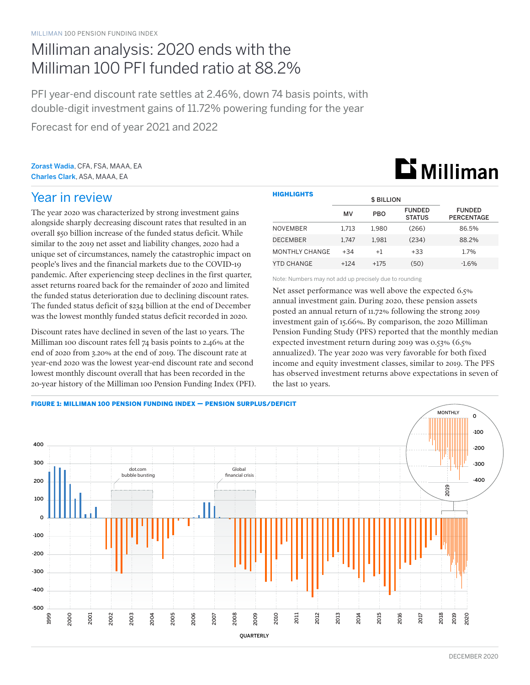## Milliman analysis: 2020 ends with the Milliman 100 PFI funded ratio at 88.2%

PFI year-end discount rate settles at 2.46%, down 74 basis points, with double-digit investment gains of 11.72% powering funding for the year

Forecast for end of year 2021 and 2022

Zorast Wadia, CFA, FSA, MAAA, EA Charles Clark, ASA, MAAA, EA

# **Li** Milliman

### Year in review

The year 2020 was characterized by strong investment gains alongside sharply decreasing discount rates that resulted in an overall \$50 billion increase of the funded status deficit. While similar to the 2019 net asset and liability changes, 2020 had a unique set of circumstances, namely the catastrophic impact on people's lives and the financial markets due to the COVID-19 pandemic. After experiencing steep declines in the first quarter, asset returns roared back for the remainder of 2020 and limited the funded status deterioration due to declining discount rates. The funded status deficit of \$234 billion at the end of December was the lowest monthly funded status deficit recorded in 2020.

Discount rates have declined in seven of the last 10 years. The Milliman 100 discount rates fell 74 basis points to 2.46% at the end of 2020 from 3.20% at the end of 2019. The discount rate at year-end 2020 was the lowest year-end discount rate and second lowest monthly discount overall that has been recorded in the 20-year history of the Milliman 100 Pension Funding Index (PFI).

| <b>HIGHLIGHTS</b> |           |                   |                                |                                    |  |  |
|-------------------|-----------|-------------------|--------------------------------|------------------------------------|--|--|
|                   |           | <b>\$ BILLION</b> |                                |                                    |  |  |
|                   | <b>MV</b> | <b>PBO</b>        | <b>FUNDED</b><br><b>STATUS</b> | <b>FUNDED</b><br><b>PERCENTAGE</b> |  |  |
| <b>NOVEMBER</b>   | 1.713     | 1.980             | (266)                          | 86.5%                              |  |  |
| <b>DECEMBER</b>   | 1.747     | 1.981             | (234)                          | 88.2%                              |  |  |
| MONTHLY CHANGE    | $+34$     | $+1$              | $+33$                          | 1.7%                               |  |  |
| YTD CHANGE        | $+124$    | $+175$            | (50)                           | $-1.6\%$                           |  |  |

Note: Numbers may not add up precisely due to rounding

Net asset performance was well above the expected 6.5% annual investment gain. During 2020, these pension assets posted an annual return of 11.72% following the strong 2019 investment gain of 15.66%. By comparison, the 2020 Milliman Pension Funding Study (PFS) reported that the monthly median expected investment return during 2019 was 0.53% (6.5% annualized). The year 2020 was very favorable for both fixed income and equity investment classes, similar to 2019. The PFS has observed investment returns above expectations in seven of the last 10 years.

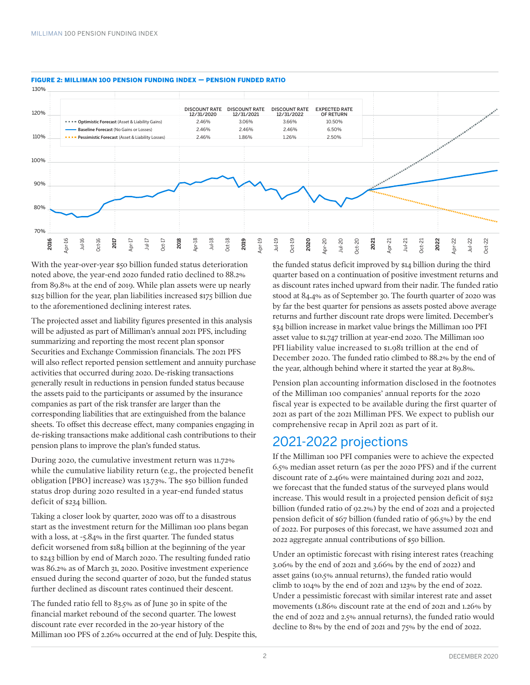

### FIGURE 2: MILLIMAN 100 PENSION FUNDING INDEX — PENSION FUNDED RATIO

With the year-over-year \$50 billion funded status deterioration noted above, the year-end 2020 funded ratio declined to 88.2% from 89.8% at the end of 2019. While plan assets were up nearly \$125 billion for the year, plan liabilities increased \$175 billion due to the aforementioned declining interest rates.

The projected asset and liability figures presented in this analysis will be adjusted as part of Milliman's annual 2021 PFS, including summarizing and reporting the most recent plan sponsor Securities and Exchange Commission financials. The 2021 PFS will also reflect reported pension settlement and annuity purchase activities that occurred during 2020. De-risking transactions generally result in reductions in pension funded status because the assets paid to the participants or assumed by the insurance companies as part of the risk transfer are larger than the corresponding liabilities that are extinguished from the balance sheets. To offset this decrease effect, many companies engaging in de-risking transactions make additional cash contributions to their pension plans to improve the plan's funded status.

During 2020, the cumulative investment return was 11.72% while the cumulative liability return (e.g., the projected benefit obligation [PBO] increase) was 13.73%. The \$50 billion funded status drop during 2020 resulted in a year-end funded status deficit of \$234 billion.

Taking a closer look by quarter, 2020 was off to a disastrous start as the investment return for the Milliman 100 plans began with a loss, at -5.84% in the first quarter. The funded status deficit worsened from \$184 billion at the beginning of the year to \$243 billion by end of March 2020. The resulting funded ratio was 86.2% as of March 31, 2020. Positive investment experience ensued during the second quarter of 2020, but the funded status further declined as discount rates continued their descent.

The funded ratio fell to 83.5% as of June 30 in spite of the financial market rebound of the second quarter. The lowest discount rate ever recorded in the 20-year history of the Milliman 100 PFS of 2.26% occurred at the end of July. Despite this, the funded status deficit improved by \$14 billion during the third quarter based on a continuation of positive investment returns and as discount rates inched upward from their nadir. The funded ratio stood at 84.4% as of September 30. The fourth quarter of 2020 was by far the best quarter for pensions as assets posted above average returns and further discount rate drops were limited. December's \$34 billion increase in market value brings the Milliman 100 PFI asset value to \$1.747 trillion at year-end 2020. The Milliman 100 PFI liability value increased to \$1.981 trillion at the end of December 2020. The funded ratio climbed to 88.2% by the end of the year, although behind where it started the year at 89.8%.

Pension plan accounting information disclosed in the footnotes of the Milliman 100 companies' annual reports for the 2020 fiscal year is expected to be available during the first quarter of 2021 as part of the 2021 Milliman PFS. We expect to publish our comprehensive recap in April 2021 as part of it.

### 2021-2022 projections

If the Milliman 100 PFI companies were to achieve the expected 6.5% median asset return (as per the 2020 PFS) and if the current discount rate of 2.46% were maintained during 2021 and 2022, we forecast that the funded status of the surveyed plans would increase. This would result in a projected pension deficit of \$152 billion (funded ratio of 92.2%) by the end of 2021 and a projected pension deficit of \$67 billion (funded ratio of 96.5%) by the end of 2022. For purposes of this forecast, we have assumed 2021 and 2022 aggregate annual contributions of \$50 billion.

Under an optimistic forecast with rising interest rates (reaching 3.06% by the end of 2021 and 3.66% by the end of 2022) and asset gains (10.5% annual returns), the funded ratio would climb to 104% by the end of 2021 and 123% by the end of 2022. Under a pessimistic forecast with similar interest rate and asset movements (1.86% discount rate at the end of 2021 and 1.26% by the end of 2022 and 2.5% annual returns), the funded ratio would decline to 81% by the end of 2021 and 75% by the end of 2022.